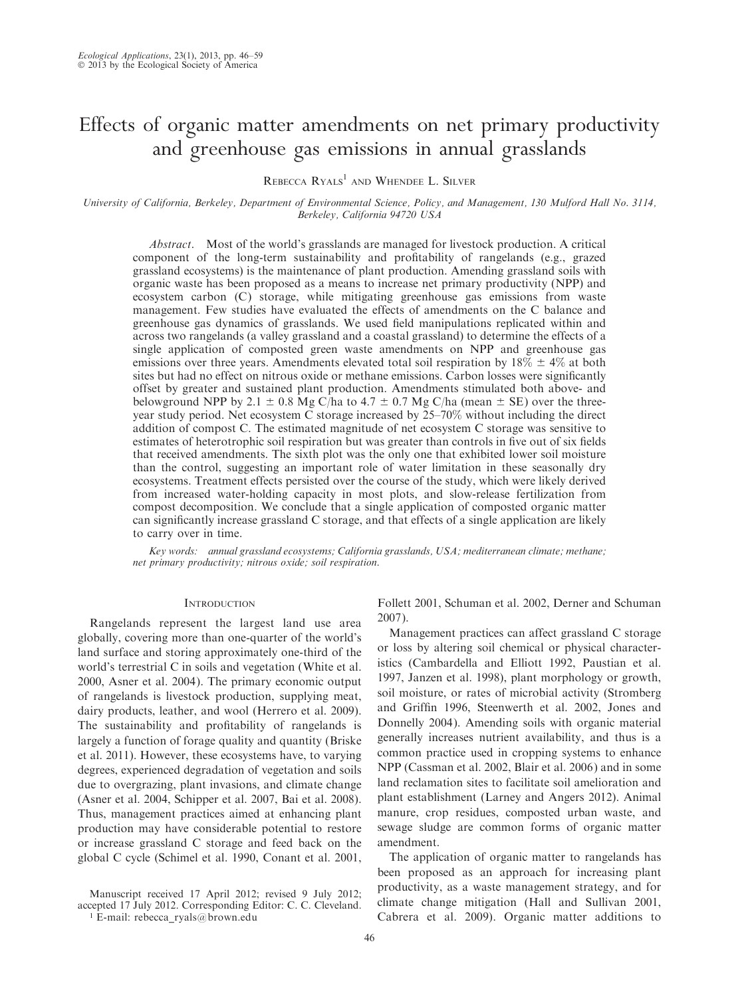# Effects of organic matter amendments on net primary productivity and greenhouse gas emissions in annual grasslands

REBECCA RYALS<sup>1</sup> AND WHENDEE L. SILVER

University of California, Berkeley, Department of Environmental Science, Policy, and Management, 130 Mulford Hall No. 3114, Berkeley, California 94720 USA

Abstract. Most of the world's grasslands are managed for livestock production. A critical component of the long-term sustainability and profitability of rangelands (e.g., grazed grassland ecosystems) is the maintenance of plant production. Amending grassland soils with organic waste has been proposed as a means to increase net primary productivity (NPP) and ecosystem carbon (C) storage, while mitigating greenhouse gas emissions from waste management. Few studies have evaluated the effects of amendments on the C balance and greenhouse gas dynamics of grasslands. We used field manipulations replicated within and across two rangelands (a valley grassland and a coastal grassland) to determine the effects of a single application of composted green waste amendments on NPP and greenhouse gas emissions over three years. Amendments elevated total soil respiration by  $18\% \pm 4\%$  at both sites but had no effect on nitrous oxide or methane emissions. Carbon losses were significantly offset by greater and sustained plant production. Amendments stimulated both above- and belowground NPP by 2.1  $\pm$  0.8 Mg C/ha to 4.7  $\pm$  0.7 Mg C/ha (mean  $\pm$  SE) over the threeyear study period. Net ecosystem C storage increased by 25–70% without including the direct addition of compost C. The estimated magnitude of net ecosystem C storage was sensitive to estimates of heterotrophic soil respiration but was greater than controls in five out of six fields that received amendments. The sixth plot was the only one that exhibited lower soil moisture than the control, suggesting an important role of water limitation in these seasonally dry ecosystems. Treatment effects persisted over the course of the study, which were likely derived from increased water-holding capacity in most plots, and slow-release fertilization from compost decomposition. We conclude that a single application of composted organic matter can significantly increase grassland C storage, and that effects of a single application are likely to carry over in time.

Key words: annual grassland ecosystems; California grasslands, USA; mediterranean climate; methane; net primary productivity; nitrous oxide; soil respiration.

# **INTRODUCTION**

Rangelands represent the largest land use area globally, covering more than one-quarter of the world's land surface and storing approximately one-third of the world's terrestrial C in soils and vegetation (White et al. 2000, Asner et al. 2004). The primary economic output of rangelands is livestock production, supplying meat, dairy products, leather, and wool (Herrero et al. 2009). The sustainability and profitability of rangelands is largely a function of forage quality and quantity (Briske et al. 2011). However, these ecosystems have, to varying degrees, experienced degradation of vegetation and soils due to overgrazing, plant invasions, and climate change (Asner et al. 2004, Schipper et al. 2007, Bai et al. 2008). Thus, management practices aimed at enhancing plant production may have considerable potential to restore or increase grassland C storage and feed back on the global C cycle (Schimel et al. 1990, Conant et al. 2001,

Manuscript received 17 April 2012; revised 9 July 2012; accepted 17 July 2012. Corresponding Editor: C. C. Cleveland.

<sup>1</sup> E-mail: rebecca\_ryals@brown.edu

Follett 2001, Schuman et al. 2002, Derner and Schuman 2007).

Management practices can affect grassland C storage or loss by altering soil chemical or physical characteristics (Cambardella and Elliott 1992, Paustian et al. 1997, Janzen et al. 1998), plant morphology or growth, soil moisture, or rates of microbial activity (Stromberg and Griffin 1996, Steenwerth et al. 2002, Jones and Donnelly 2004). Amending soils with organic material generally increases nutrient availability, and thus is a common practice used in cropping systems to enhance NPP (Cassman et al. 2002, Blair et al. 2006) and in some land reclamation sites to facilitate soil amelioration and plant establishment (Larney and Angers 2012). Animal manure, crop residues, composted urban waste, and sewage sludge are common forms of organic matter amendment.

The application of organic matter to rangelands has been proposed as an approach for increasing plant productivity, as a waste management strategy, and for climate change mitigation (Hall and Sullivan 2001, Cabrera et al. 2009). Organic matter additions to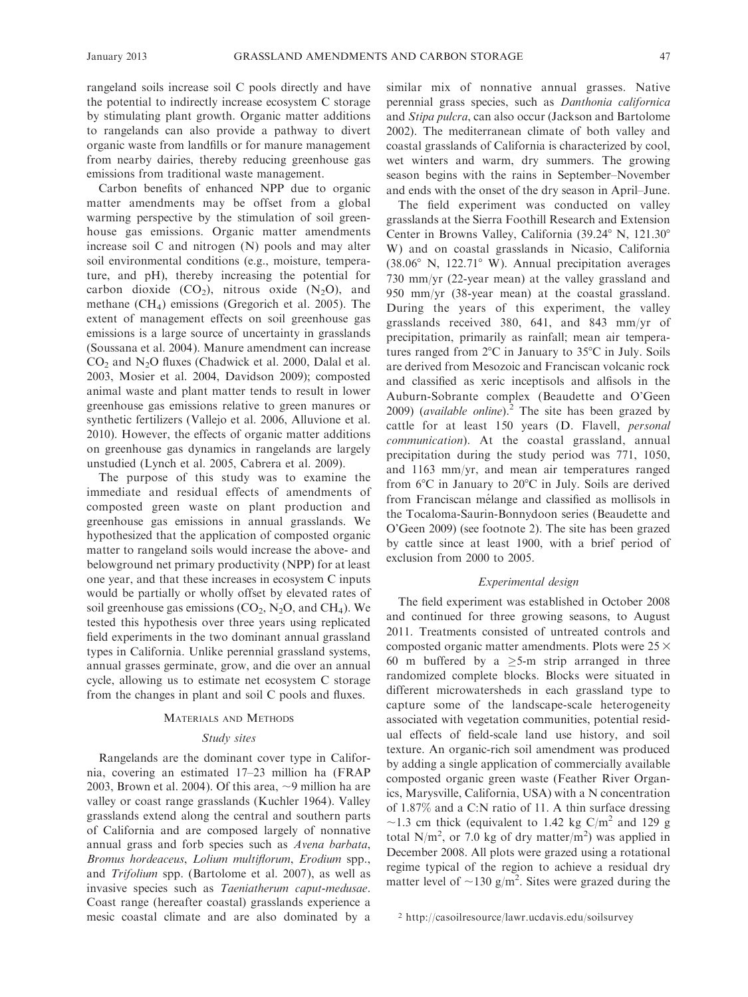rangeland soils increase soil C pools directly and have the potential to indirectly increase ecosystem C storage by stimulating plant growth. Organic matter additions to rangelands can also provide a pathway to divert organic waste from landfills or for manure management from nearby dairies, thereby reducing greenhouse gas emissions from traditional waste management.

Carbon benefits of enhanced NPP due to organic matter amendments may be offset from a global warming perspective by the stimulation of soil greenhouse gas emissions. Organic matter amendments increase soil C and nitrogen (N) pools and may alter soil environmental conditions (e.g., moisture, temperature, and pH), thereby increasing the potential for carbon dioxide  $(CO_2)$ , nitrous oxide  $(N_2O)$ , and methane (CH4) emissions (Gregorich et al. 2005). The extent of management effects on soil greenhouse gas emissions is a large source of uncertainty in grasslands (Soussana et al. 2004). Manure amendment can increase CO2 and N2O fluxes (Chadwick et al. 2000, Dalal et al. 2003, Mosier et al. 2004, Davidson 2009); composted animal waste and plant matter tends to result in lower greenhouse gas emissions relative to green manures or synthetic fertilizers (Vallejo et al. 2006, Alluvione et al. 2010). However, the effects of organic matter additions on greenhouse gas dynamics in rangelands are largely unstudied (Lynch et al. 2005, Cabrera et al. 2009).

The purpose of this study was to examine the immediate and residual effects of amendments of composted green waste on plant production and greenhouse gas emissions in annual grasslands. We hypothesized that the application of composted organic matter to rangeland soils would increase the above- and belowground net primary productivity (NPP) for at least one year, and that these increases in ecosystem C inputs would be partially or wholly offset by elevated rates of soil greenhouse gas emissions  $(CO_2, N_2O,$  and  $CH_4)$ . We tested this hypothesis over three years using replicated field experiments in the two dominant annual grassland types in California. Unlike perennial grassland systems, annual grasses germinate, grow, and die over an annual cycle, allowing us to estimate net ecosystem C storage from the changes in plant and soil C pools and fluxes.

## MATERIALS AND METHODS

# Study sites

Rangelands are the dominant cover type in California, covering an estimated 17–23 million ha (FRAP 2003, Brown et al. 2004). Of this area,  $\sim$ 9 million ha are valley or coast range grasslands (Kuchler 1964). Valley grasslands extend along the central and southern parts of California and are composed largely of nonnative annual grass and forb species such as Avena barbata, Bromus hordeaceus, Lolium multiflorum, Erodium spp., and Trifolium spp. (Bartolome et al. 2007), as well as invasive species such as Taeniatherum caput-medusae. Coast range (hereafter coastal) grasslands experience a mesic coastal climate and are also dominated by a similar mix of nonnative annual grasses. Native perennial grass species, such as Danthonia californica and Stipa pulcra, can also occur (Jackson and Bartolome 2002). The mediterranean climate of both valley and coastal grasslands of California is characterized by cool, wet winters and warm, dry summers. The growing season begins with the rains in September–November and ends with the onset of the dry season in April–June.

The field experiment was conducted on valley grasslands at the Sierra Foothill Research and Extension Center in Browns Valley, California  $(39.24^{\circ}$  N,  $121.30^{\circ}$ W) and on coastal grasslands in Nicasio, California (38.06 $\textdegree$  N, 122.71 $\textdegree$  W). Annual precipitation averages 730 mm/yr (22-year mean) at the valley grassland and 950 mm/yr (38-year mean) at the coastal grassland. During the years of this experiment, the valley grasslands received 380, 641, and 843 mm/yr of precipitation, primarily as rainfall; mean air temperatures ranged from  $2^{\circ}$ C in January to  $35^{\circ}$ C in July. Soils are derived from Mesozoic and Franciscan volcanic rock and classified as xeric inceptisols and alfisols in the Auburn-Sobrante complex (Beaudette and O'Geen 2009) (*available online*).<sup>2</sup> The site has been grazed by cattle for at least 150 years (D. Flavell, personal communication). At the coastal grassland, annual precipitation during the study period was 771, 1050, and 1163 mm/yr, and mean air temperatures ranged from  $6^{\circ}$ C in January to  $20^{\circ}$ C in July. Soils are derived from Franciscan mélange and classified as mollisols in the Tocaloma-Saurin-Bonnydoon series (Beaudette and O'Geen 2009) (see footnote 2). The site has been grazed by cattle since at least 1900, with a brief period of exclusion from 2000 to 2005.

# Experimental design

The field experiment was established in October 2008 and continued for three growing seasons, to August 2011. Treatments consisted of untreated controls and composted organic matter amendments. Plots were  $25 \times$ 60 m buffered by a  $\ge$  5-m strip arranged in three randomized complete blocks. Blocks were situated in different microwatersheds in each grassland type to capture some of the landscape-scale heterogeneity associated with vegetation communities, potential residual effects of field-scale land use history, and soil texture. An organic-rich soil amendment was produced by adding a single application of commercially available composted organic green waste (Feather River Organics, Marysville, California, USA) with a N concentration of 1.87% and a C:N ratio of 11. A thin surface dressing  $\sim$ 1.3 cm thick (equivalent to 1.42 kg C/m<sup>2</sup> and 129 g total N/m<sup>2</sup>, or 7.0 kg of dry matter/m<sup>2</sup>) was applied in December 2008. All plots were grazed using a rotational regime typical of the region to achieve a residual dry matter level of  $\sim$ 130 g/m<sup>2</sup>. Sites were grazed during the

<sup>2</sup> http://casoilresource/lawr.ucdavis.edu/soilsurvey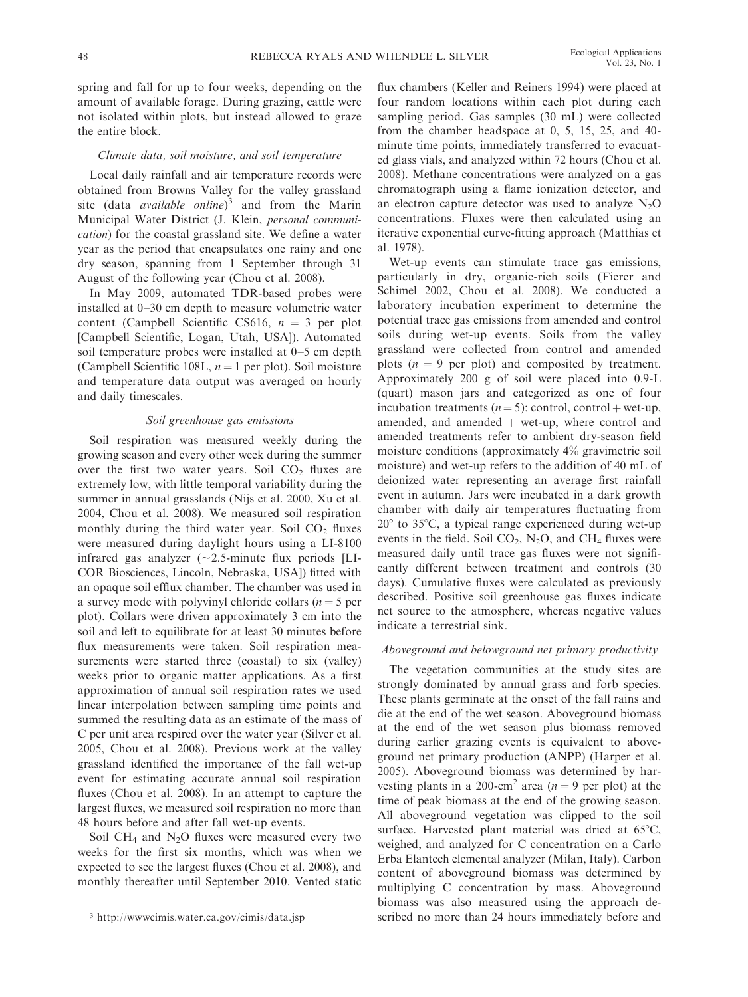spring and fall for up to four weeks, depending on the amount of available forage. During grazing, cattle were not isolated within plots, but instead allowed to graze the entire block.

## Climate data, soil moisture, and soil temperature

Local daily rainfall and air temperature records were obtained from Browns Valley for the valley grassland site (data *available online*)<sup>3</sup> and from the Marin Municipal Water District (J. Klein, personal communication) for the coastal grassland site. We define a water year as the period that encapsulates one rainy and one dry season, spanning from 1 September through 31 August of the following year (Chou et al. 2008).

In May 2009, automated TDR-based probes were installed at 0–30 cm depth to measure volumetric water content (Campbell Scientific CS616,  $n = 3$  per plot [Campbell Scientific, Logan, Utah, USA]). Automated soil temperature probes were installed at 0–5 cm depth (Campbell Scientific 108L,  $n = 1$  per plot). Soil moisture and temperature data output was averaged on hourly and daily timescales.

## Soil greenhouse gas emissions

Soil respiration was measured weekly during the growing season and every other week during the summer over the first two water years. Soil  $CO<sub>2</sub>$  fluxes are extremely low, with little temporal variability during the summer in annual grasslands (Nijs et al. 2000, Xu et al. 2004, Chou et al. 2008). We measured soil respiration monthly during the third water year. Soil  $CO<sub>2</sub>$  fluxes were measured during daylight hours using a LI-8100 infrared gas analyzer  $(\sim 2.5$ -minute flux periods [LI-COR Biosciences, Lincoln, Nebraska, USA]) fitted with an opaque soil efflux chamber. The chamber was used in a survey mode with polyvinyl chloride collars ( $n = 5$  per plot). Collars were driven approximately 3 cm into the soil and left to equilibrate for at least 30 minutes before flux measurements were taken. Soil respiration measurements were started three (coastal) to six (valley) weeks prior to organic matter applications. As a first approximation of annual soil respiration rates we used linear interpolation between sampling time points and summed the resulting data as an estimate of the mass of C per unit area respired over the water year (Silver et al. 2005, Chou et al. 2008). Previous work at the valley grassland identified the importance of the fall wet-up event for estimating accurate annual soil respiration fluxes (Chou et al. 2008). In an attempt to capture the largest fluxes, we measured soil respiration no more than 48 hours before and after fall wet-up events.

Soil CH<sub>4</sub> and  $N_2O$  fluxes were measured every two weeks for the first six months, which was when we expected to see the largest fluxes (Chou et al. 2008), and monthly thereafter until September 2010. Vented static flux chambers (Keller and Reiners 1994) were placed at four random locations within each plot during each sampling period. Gas samples (30 mL) were collected from the chamber headspace at 0, 5, 15, 25, and 40 minute time points, immediately transferred to evacuated glass vials, and analyzed within 72 hours (Chou et al. 2008). Methane concentrations were analyzed on a gas chromatograph using a flame ionization detector, and an electron capture detector was used to analyze  $N_2O$ concentrations. Fluxes were then calculated using an iterative exponential curve-fitting approach (Matthias et al. 1978).

Wet-up events can stimulate trace gas emissions, particularly in dry, organic-rich soils (Fierer and Schimel 2002, Chou et al. 2008). We conducted a laboratory incubation experiment to determine the potential trace gas emissions from amended and control soils during wet-up events. Soils from the valley grassland were collected from control and amended plots  $(n = 9$  per plot) and composited by treatment. Approximately 200 g of soil were placed into 0.9-L (quart) mason jars and categorized as one of four incubation treatments ( $n = 5$ ): control, control + wet-up, amended, and amended  $+$  wet-up, where control and amended treatments refer to ambient dry-season field moisture conditions (approximately 4% gravimetric soil moisture) and wet-up refers to the addition of 40 mL of deionized water representing an average first rainfall event in autumn. Jars were incubated in a dark growth chamber with daily air temperatures fluctuating from  $20^{\circ}$  to 35 $^{\circ}$ C, a typical range experienced during wet-up events in the field. Soil  $CO_2$ , N<sub>2</sub>O, and CH<sub>4</sub> fluxes were measured daily until trace gas fluxes were not significantly different between treatment and controls (30 days). Cumulative fluxes were calculated as previously described. Positive soil greenhouse gas fluxes indicate net source to the atmosphere, whereas negative values indicate a terrestrial sink.

## Aboveground and belowground net primary productivity

The vegetation communities at the study sites are strongly dominated by annual grass and forb species. These plants germinate at the onset of the fall rains and die at the end of the wet season. Aboveground biomass at the end of the wet season plus biomass removed during earlier grazing events is equivalent to aboveground net primary production (ANPP) (Harper et al. 2005). Aboveground biomass was determined by harvesting plants in a 200-cm<sup>2</sup> area ( $n = 9$  per plot) at the time of peak biomass at the end of the growing season. All aboveground vegetation was clipped to the soil surface. Harvested plant material was dried at  $65^{\circ}$ C, weighed, and analyzed for C concentration on a Carlo Erba Elantech elemental analyzer (Milan, Italy). Carbon content of aboveground biomass was determined by multiplying C concentration by mass. Aboveground biomass was also measured using the approach de- <sup>3</sup> http://www.cimis.water.ca.gov/cimis/data.jsp scribed no more than 24 hours immediately before and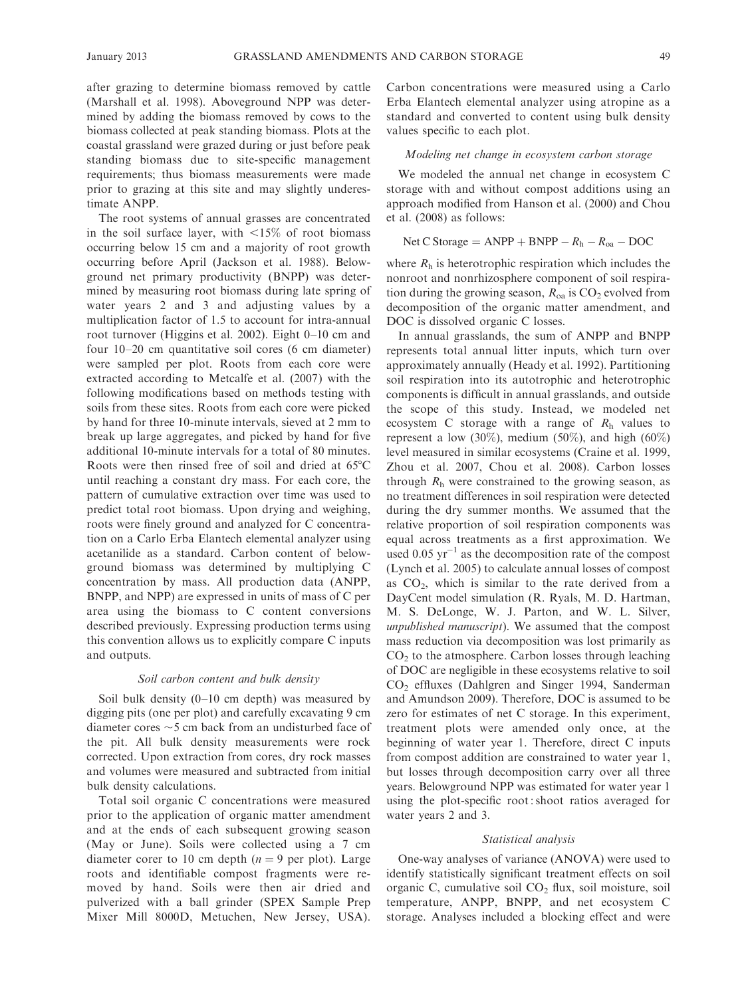after grazing to determine biomass removed by cattle (Marshall et al. 1998). Aboveground NPP was determined by adding the biomass removed by cows to the biomass collected at peak standing biomass. Plots at the coastal grassland were grazed during or just before peak standing biomass due to site-specific management requirements; thus biomass measurements were made prior to grazing at this site and may slightly underestimate ANPP.

The root systems of annual grasses are concentrated in the soil surface layer, with  $\langle 15 \rangle$  of root biomass occurring below 15 cm and a majority of root growth occurring before April (Jackson et al. 1988). Belowground net primary productivity (BNPP) was determined by measuring root biomass during late spring of water years 2 and 3 and adjusting values by a multiplication factor of 1.5 to account for intra-annual root turnover (Higgins et al. 2002). Eight 0–10 cm and four 10–20 cm quantitative soil cores (6 cm diameter) were sampled per plot. Roots from each core were extracted according to Metcalfe et al. (2007) with the following modifications based on methods testing with soils from these sites. Roots from each core were picked by hand for three 10-minute intervals, sieved at 2 mm to break up large aggregates, and picked by hand for five additional 10-minute intervals for a total of 80 minutes. Roots were then rinsed free of soil and dried at  $65^{\circ}$ C until reaching a constant dry mass. For each core, the pattern of cumulative extraction over time was used to predict total root biomass. Upon drying and weighing, roots were finely ground and analyzed for C concentration on a Carlo Erba Elantech elemental analyzer using acetanilide as a standard. Carbon content of belowground biomass was determined by multiplying C concentration by mass. All production data (ANPP, BNPP, and NPP) are expressed in units of mass of C per area using the biomass to C content conversions described previously. Expressing production terms using this convention allows us to explicitly compare C inputs and outputs.

## Soil carbon content and bulk density

Soil bulk density (0–10 cm depth) was measured by digging pits (one per plot) and carefully excavating 9 cm diameter cores  $\sim$  5 cm back from an undisturbed face of the pit. All bulk density measurements were rock corrected. Upon extraction from cores, dry rock masses and volumes were measured and subtracted from initial bulk density calculations.

Total soil organic C concentrations were measured prior to the application of organic matter amendment and at the ends of each subsequent growing season (May or June). Soils were collected using a 7 cm diameter corer to 10 cm depth  $(n = 9$  per plot). Large roots and identifiable compost fragments were removed by hand. Soils were then air dried and pulverized with a ball grinder (SPEX Sample Prep Mixer Mill 8000D, Metuchen, New Jersey, USA).

Carbon concentrations were measured using a Carlo Erba Elantech elemental analyzer using atropine as a standard and converted to content using bulk density values specific to each plot.

## Modeling net change in ecosystem carbon storage

We modeled the annual net change in ecosystem C storage with and without compost additions using an approach modified from Hanson et al. (2000) and Chou et al. (2008) as follows:

# Net C Storage =  $ANPP + BNPP - R_h - R_{oa} - DOC$

where  $R<sub>h</sub>$  is heterotrophic respiration which includes the nonroot and nonrhizosphere component of soil respiration during the growing season,  $R_{oa}$  is  $CO_2$  evolved from decomposition of the organic matter amendment, and DOC is dissolved organic C losses.

In annual grasslands, the sum of ANPP and BNPP represents total annual litter inputs, which turn over approximately annually (Heady et al. 1992). Partitioning soil respiration into its autotrophic and heterotrophic components is difficult in annual grasslands, and outside the scope of this study. Instead, we modeled net ecosystem C storage with a range of  $R<sub>h</sub>$  values to represent a low  $(30\%)$ , medium  $(50\%)$ , and high  $(60\%)$ level measured in similar ecosystems (Craine et al. 1999, Zhou et al. 2007, Chou et al. 2008). Carbon losses through  $R_h$  were constrained to the growing season, as no treatment differences in soil respiration were detected during the dry summer months. We assumed that the relative proportion of soil respiration components was equal across treatments as a first approximation. We used  $0.05 \text{ yr}^{-1}$  as the decomposition rate of the compost (Lynch et al. 2005) to calculate annual losses of compost as  $CO<sub>2</sub>$ , which is similar to the rate derived from a DayCent model simulation (R. Ryals, M. D. Hartman, M. S. DeLonge, W. J. Parton, and W. L. Silver, unpublished manuscript). We assumed that the compost mass reduction via decomposition was lost primarily as  $CO<sub>2</sub>$  to the atmosphere. Carbon losses through leaching of DOC are negligible in these ecosystems relative to soil CO2 effluxes (Dahlgren and Singer 1994, Sanderman and Amundson 2009). Therefore, DOC is assumed to be zero for estimates of net C storage. In this experiment, treatment plots were amended only once, at the beginning of water year 1. Therefore, direct C inputs from compost addition are constrained to water year 1, but losses through decomposition carry over all three years. Belowground NPP was estimated for water year 1 using the plot-specific root : shoot ratios averaged for water years 2 and 3.

## Statistical analysis

One-way analyses of variance (ANOVA) were used to identify statistically significant treatment effects on soil organic C, cumulative soil CO<sub>2</sub> flux, soil moisture, soil temperature, ANPP, BNPP, and net ecosystem C storage. Analyses included a blocking effect and were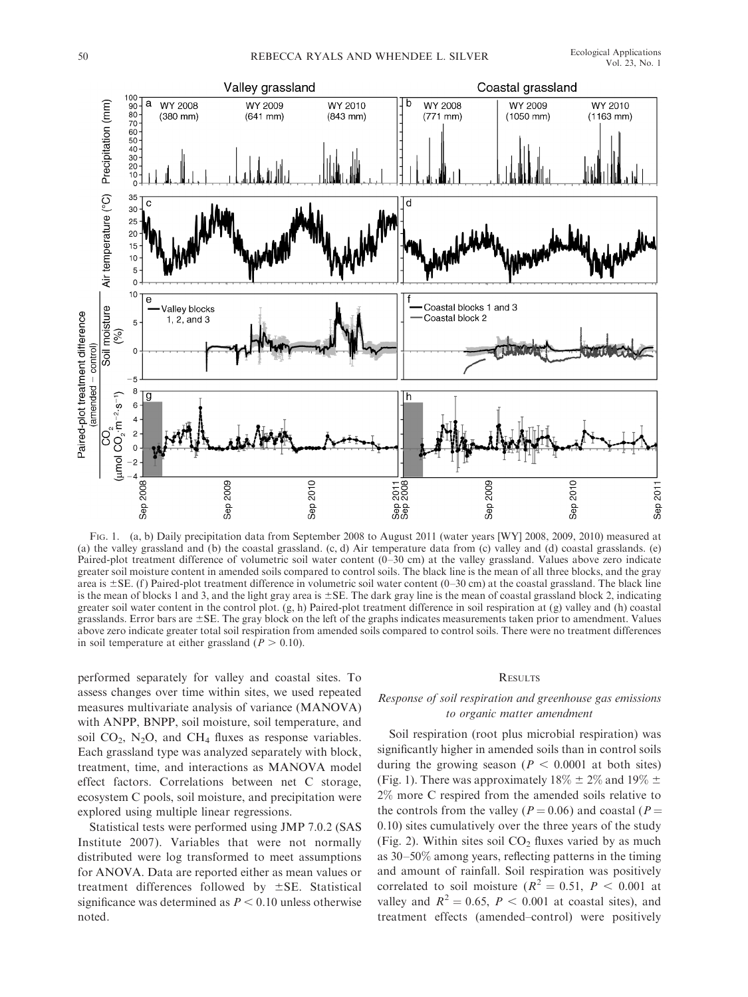

FIG. 1. (a, b) Daily precipitation data from September 2008 to August 2011 (water years [WY] 2008, 2009, 2010) measured at (a) the valley grassland and (b) the coastal grassland. (c, d) Air temperature data from (c) valley and (d) coastal grasslands. (e) Paired-plot treatment difference of volumetric soil water content (0–30 cm) at the valley grassland. Values above zero indicate greater soil moisture content in amended soils compared to control soils. The black line is the mean of all three blocks, and the gray area is  $\pm$  SE. (f) Paired-plot treatment difference in volumetric soil water content (0–30 cm) at the coastal grassland. The black line is the mean of blocks 1 and 3, and the light gray area is  $\pm$  SE. The dark gray line is the mean of coastal grassland block 2, indicating greater soil water content in the control plot. (g, h) Paired-plot treatment difference in soil respiration at (g) valley and (h) coastal grasslands. Error bars are  $\pm$ SE. The gray block on the left of the graphs indicates measurements taken prior to amendment. Values above zero indicate greater total soil respiration from amended soils compared to control soils. There were no treatment differences in soil temperature at either grassland ( $P > 0.10$ ).

performed separately for valley and coastal sites. To assess changes over time within sites, we used repeated measures multivariate analysis of variance (MANOVA) with ANPP, BNPP, soil moisture, soil temperature, and soil  $CO<sub>2</sub>$ , N<sub>2</sub>O, and CH<sub>4</sub> fluxes as response variables. Each grassland type was analyzed separately with block, treatment, time, and interactions as MANOVA model effect factors. Correlations between net C storage, ecosystem C pools, soil moisture, and precipitation were explored using multiple linear regressions.

Statistical tests were performed using JMP 7.0.2 (SAS Institute 2007). Variables that were not normally distributed were log transformed to meet assumptions for ANOVA. Data are reported either as mean values or treatment differences followed by  $\pm$ SE. Statistical significance was determined as  $P < 0.10$  unless otherwise noted.

## **RESULTS**

# Response of soil respiration and greenhouse gas emissions to organic matter amendment

Soil respiration (root plus microbial respiration) was significantly higher in amended soils than in control soils during the growing season ( $P < 0.0001$  at both sites) (Fig. 1). There was approximately  $18\% \pm 2\%$  and  $19\% \pm 1$ 2% more C respired from the amended soils relative to the controls from the valley ( $P = 0.06$ ) and coastal ( $P =$ 0.10) sites cumulatively over the three years of the study (Fig. 2). Within sites soil  $CO<sub>2</sub>$  fluxes varied by as much as 30–50% among years, reflecting patterns in the timing and amount of rainfall. Soil respiration was positively correlated to soil moisture ( $R^2 = 0.51$ ,  $P < 0.001$  at valley and  $R^2 = 0.65$ ,  $P < 0.001$  at coastal sites), and treatment effects (amended–control) were positively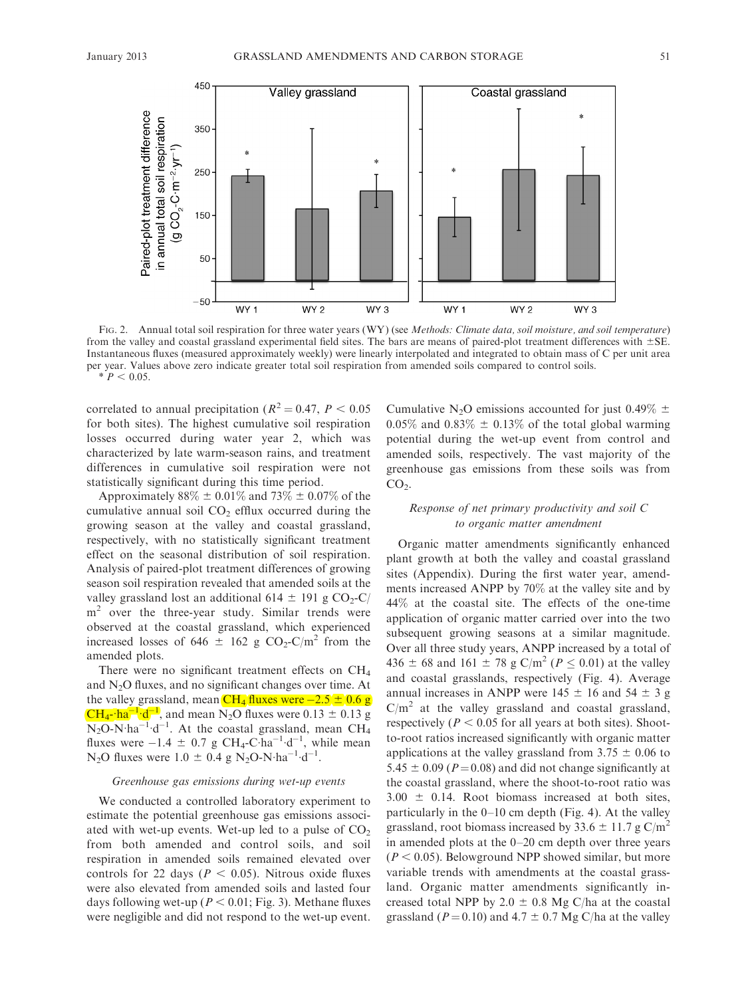

FIG. 2. Annual total soil respiration for three water years (WY) (see Methods: Climate data, soil moisture, and soil temperature) from the valley and coastal grassland experimental field sites. The bars are means of paired-plot treatment differences with  $\pm$ SE. Instantaneous fluxes (measured approximately weekly) were linearly interpolated and integrated to obtain mass of C per unit area per year. Values above zero indicate greater total soil respiration from amended soils compared to control soils.  $* P < 0.05.$ 

correlated to annual precipitation ( $R^2 = 0.47$ ,  $P < 0.05$ ) for both sites). The highest cumulative soil respiration losses occurred during water year 2, which was characterized by late warm-season rains, and treatment differences in cumulative soil respiration were not statistically significant during this time period.

Approximately  $88\% \pm 0.01\%$  and  $73\% \pm 0.07\%$  of the cumulative annual soil  $CO<sub>2</sub>$  efflux occurred during the growing season at the valley and coastal grassland, respectively, with no statistically significant treatment effect on the seasonal distribution of soil respiration. Analysis of paired-plot treatment differences of growing season soil respiration revealed that amended soils at the valley grassland lost an additional 614  $\pm$  191 g CO<sub>2</sub>-C/  $m<sup>2</sup>$  over the three-year study. Similar trends were observed at the coastal grassland, which experienced increased losses of 646  $\pm$  162 g CO<sub>2</sub>-C/m<sup>2</sup> from the amended plots.

There were no significant treatment effects on CH<sub>4</sub> and N2O fluxes, and no significant changes over time. At the valley grassland, mean  $CH_4$  fluxes were  $-2.5 \pm 0.6$  g  $CH_4$ -ha<sup>-1</sup>·d<sup>-1</sup>, and mean N<sub>2</sub>O fluxes were 0.13  $\pm$  0.13 g  $N_2O-N \cdot ha^{-1} \cdot d^{-1}$ . At the coastal grassland, mean CH<sub>4</sub> fluxes were  $-1.4 \pm 0.7$  g CH<sub>4</sub>-C·ha<sup>-1</sup>·d<sup>-1</sup>, while mean N<sub>2</sub>O fluxes were 1.0  $\pm$  0.4 g N<sub>2</sub>O-N·ha<sup>-1</sup>·d<sup>-1</sup>.

## Greenhouse gas emissions during wet-up events

We conducted a controlled laboratory experiment to estimate the potential greenhouse gas emissions associated with wet-up events. Wet-up led to a pulse of  $CO<sub>2</sub>$ from both amended and control soils, and soil respiration in amended soils remained elevated over controls for 22 days ( $P < 0.05$ ). Nitrous oxide fluxes were also elevated from amended soils and lasted four days following wet-up ( $P < 0.01$ ; Fig. 3). Methane fluxes were negligible and did not respond to the wet-up event.

Cumulative N<sub>2</sub>O emissions accounted for just 0.49%  $\pm$  $0.05\%$  and  $0.83\% \pm 0.13\%$  of the total global warming potential during the wet-up event from control and amended soils, respectively. The vast majority of the greenhouse gas emissions from these soils was from  $CO<sub>2</sub>$ .

# Response of net primary productivity and soil C to organic matter amendment

Organic matter amendments significantly enhanced plant growth at both the valley and coastal grassland sites (Appendix). During the first water year, amendments increased ANPP by 70% at the valley site and by 44% at the coastal site. The effects of the one-time application of organic matter carried over into the two subsequent growing seasons at a similar magnitude. Over all three study years, ANPP increased by a total of 436  $\pm$  68 and 161  $\pm$  78 g C/m<sup>2</sup> ( $P \le 0.01$ ) at the valley and coastal grasslands, respectively (Fig. 4). Average annual increases in ANPP were 145  $\pm$  16 and 54  $\pm$  3 g  $C/m<sup>2</sup>$  at the valley grassland and coastal grassland, respectively ( $P < 0.05$  for all years at both sites). Shootto-root ratios increased significantly with organic matter applications at the valley grassland from  $3.75 \pm 0.06$  to 5.45  $\pm$  0.09 (P=0.08) and did not change significantly at the coastal grassland, where the shoot-to-root ratio was  $3.00 \pm 0.14$ . Root biomass increased at both sites, particularly in the 0–10 cm depth (Fig. 4). At the valley grassland, root biomass increased by 33.6  $\pm$  11.7 g C/m<sup>2</sup> in amended plots at the 0–20 cm depth over three years  $(P < 0.05)$ . Belowground NPP showed similar, but more variable trends with amendments at the coastal grassland. Organic matter amendments significantly increased total NPP by 2.0  $\pm$  0.8 Mg C/ha at the coastal grassland ( $P = 0.10$ ) and  $4.7 \pm 0.7$  Mg C/ha at the valley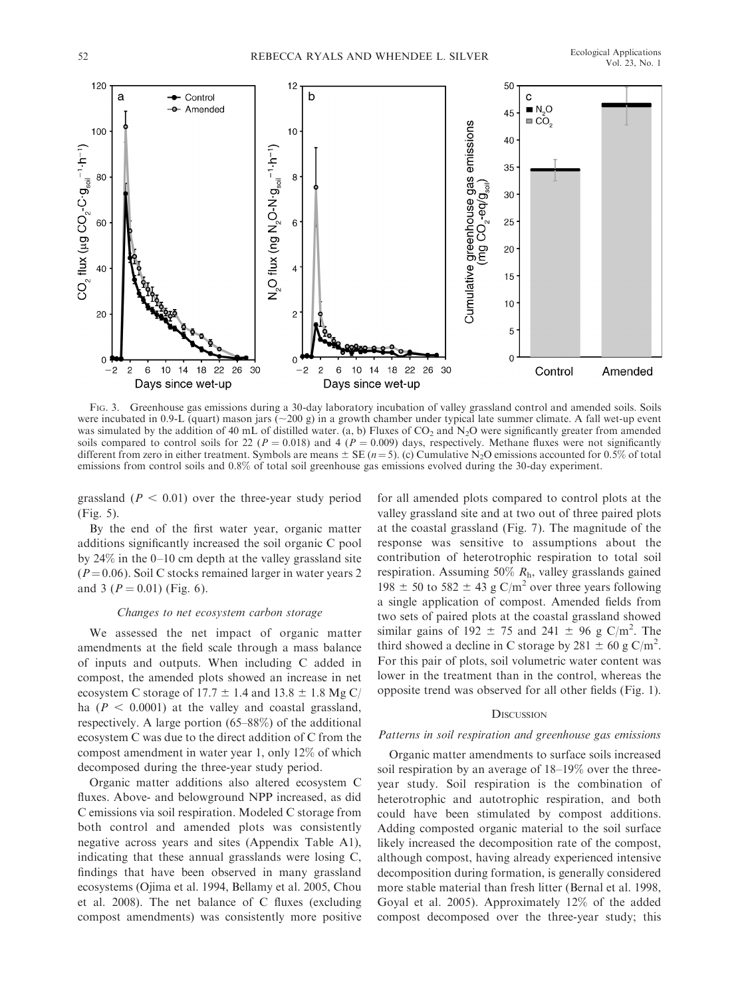

FIG. 3. Greenhouse gas emissions during a 30-day laboratory incubation of valley grassland control and amended soils. Soils were incubated in 0.9-L (quart) mason jars  $(\sim 200 \text{ g})$  in a growth chamber under typical late summer climate. A fall wet-up event was simulated by the addition of 40 mL of distilled water. (a, b) Fluxes of  $CO_2$  and  $N_2O$  were significantly greater from amended soils compared to control soils for 22 ( $P = 0.018$ ) and 4 ( $P = 0.009$ ) days, respectively. Methane fluxes were not significantly different from zero in either treatment. Symbols are means  $\pm$  SE (n = 5). (c) Cumulative N<sub>2</sub>O emissions accounted for 0.5% of total emissions from control soils and 0.8% of total soil greenhouse gas emissions evolved during the 30-day experiment.

grassland ( $P < 0.01$ ) over the three-year study period (Fig. 5).

By the end of the first water year, organic matter additions significantly increased the soil organic C pool by 24% in the 0–10 cm depth at the valley grassland site  $(P=0.06)$ . Soil C stocks remained larger in water years 2 and 3 ( $P = 0.01$ ) (Fig. 6).

## Changes to net ecosystem carbon storage

We assessed the net impact of organic matter amendments at the field scale through a mass balance of inputs and outputs. When including C added in compost, the amended plots showed an increase in net ecosystem C storage of 17.7  $\pm$  1.4 and 13.8  $\pm$  1.8 Mg C/ ha ( $P < 0.0001$ ) at the valley and coastal grassland, respectively. A large portion (65–88%) of the additional ecosystem C was due to the direct addition of C from the compost amendment in water year 1, only 12% of which decomposed during the three-year study period.

Organic matter additions also altered ecosystem C fluxes. Above- and belowground NPP increased, as did C emissions via soil respiration. Modeled C storage from both control and amended plots was consistently negative across years and sites (Appendix Table A1), indicating that these annual grasslands were losing C, findings that have been observed in many grassland ecosystems (Ojima et al. 1994, Bellamy et al. 2005, Chou et al. 2008). The net balance of C fluxes (excluding compost amendments) was consistently more positive

for all amended plots compared to control plots at the valley grassland site and at two out of three paired plots at the coastal grassland (Fig. 7). The magnitude of the response was sensitive to assumptions about the contribution of heterotrophic respiration to total soil respiration. Assuming 50%  $R<sub>h</sub>$ , valley grasslands gained 198  $\pm$  50 to 582  $\pm$  43 g C/m<sup>2</sup> over three years following a single application of compost. Amended fields from two sets of paired plots at the coastal grassland showed similar gains of  $192 \pm 75$  and  $241 \pm 96$  g C/m<sup>2</sup>. The third showed a decline in C storage by 281  $\pm$  60 g C/m<sup>2</sup>. For this pair of plots, soil volumetric water content was lower in the treatment than in the control, whereas the opposite trend was observed for all other fields (Fig. 1).

## **DISCUSSION**

## Patterns in soil respiration and greenhouse gas emissions

Organic matter amendments to surface soils increased soil respiration by an average of 18–19% over the threeyear study. Soil respiration is the combination of heterotrophic and autotrophic respiration, and both could have been stimulated by compost additions. Adding composted organic material to the soil surface likely increased the decomposition rate of the compost, although compost, having already experienced intensive decomposition during formation, is generally considered more stable material than fresh litter (Bernal et al. 1998, Goyal et al. 2005). Approximately 12% of the added compost decomposed over the three-year study; this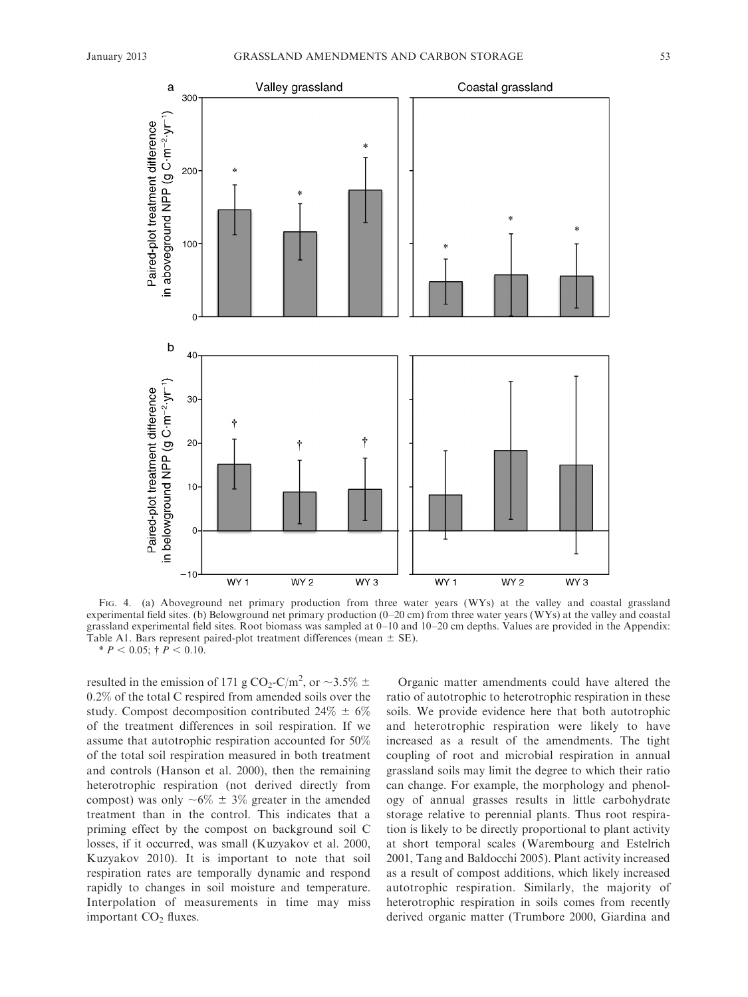

FIG. 4. (a) Aboveground net primary production from three water years (WYs) at the valley and coastal grassland experimental field sites. (b) Belowground net primary production (0–20 cm) from three water years (WYs) at the valley and coastal grassland experimental field sites. Root biomass was sampled at 0–10 and 10–20 cm depths. Values are provided in the Appendix: Table A1. Bars represent paired-plot treatment differences (mean  $\pm$  SE).  $* P < 0.05$ ;  $\dagger P < 0.10$ .

resulted in the emission of 171 g CO<sub>2</sub>-C/m<sup>2</sup>, or  $\sim$ 3.5%  $\pm$ 0.2% of the total C respired from amended soils over the study. Compost decomposition contributed  $24\% \pm 6\%$ of the treatment differences in soil respiration. If we assume that autotrophic respiration accounted for 50% of the total soil respiration measured in both treatment and controls (Hanson et al. 2000), then the remaining heterotrophic respiration (not derived directly from compost) was only  $\sim 6\% \pm 3\%$  greater in the amended treatment than in the control. This indicates that a priming effect by the compost on background soil C losses, if it occurred, was small (Kuzyakov et al. 2000, Kuzyakov 2010). It is important to note that soil respiration rates are temporally dynamic and respond rapidly to changes in soil moisture and temperature. Interpolation of measurements in time may miss important  $CO<sub>2</sub>$  fluxes.

Organic matter amendments could have altered the ratio of autotrophic to heterotrophic respiration in these soils. We provide evidence here that both autotrophic and heterotrophic respiration were likely to have increased as a result of the amendments. The tight coupling of root and microbial respiration in annual grassland soils may limit the degree to which their ratio can change. For example, the morphology and phenology of annual grasses results in little carbohydrate storage relative to perennial plants. Thus root respiration is likely to be directly proportional to plant activity at short temporal scales (Warembourg and Estelrich 2001, Tang and Baldocchi 2005). Plant activity increased as a result of compost additions, which likely increased autotrophic respiration. Similarly, the majority of heterotrophic respiration in soils comes from recently derived organic matter (Trumbore 2000, Giardina and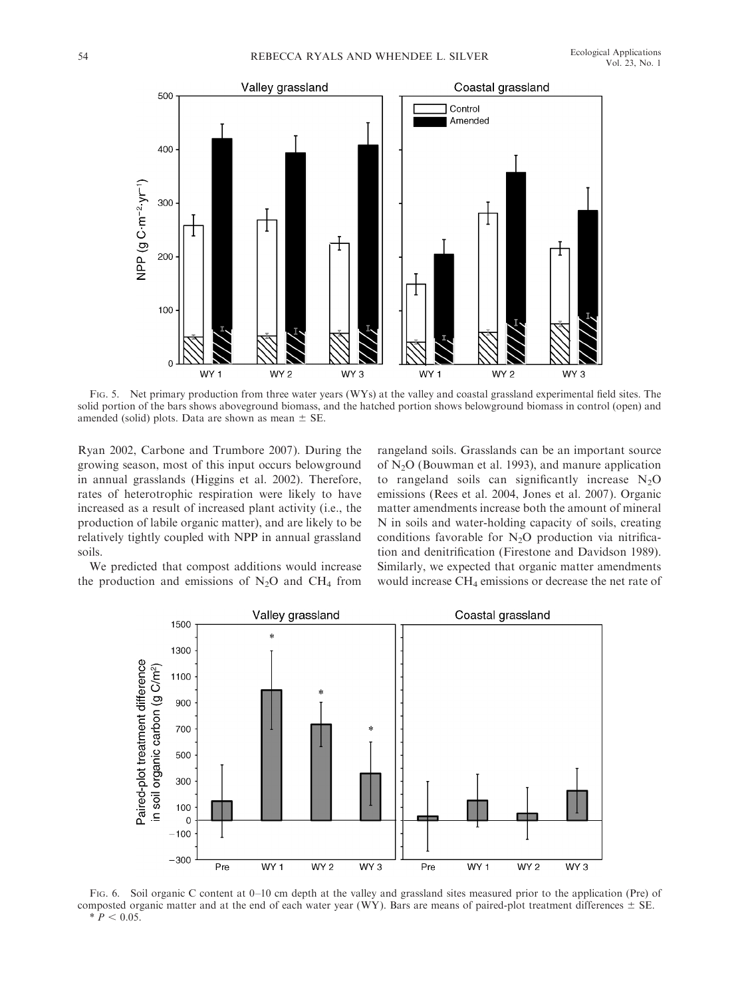

FIG. 5. Net primary production from three water years (WYs) at the valley and coastal grassland experimental field sites. The solid portion of the bars shows aboveground biomass, and the hatched portion shows belowground biomass in control (open) and amended (solid) plots. Data are shown as mean  $\pm$  SE.

Ryan 2002, Carbone and Trumbore 2007). During the growing season, most of this input occurs belowground in annual grasslands (Higgins et al. 2002). Therefore, rates of heterotrophic respiration were likely to have increased as a result of increased plant activity (i.e., the production of labile organic matter), and are likely to be relatively tightly coupled with NPP in annual grassland soils.

rangeland soils. Grasslands can be an important source of  $N<sub>2</sub>O$  (Bouwman et al. 1993), and manure application to rangeland soils can significantly increase  $N_2O$ emissions (Rees et al. 2004, Jones et al. 2007). Organic matter amendments increase both the amount of mineral N in soils and water-holding capacity of soils, creating conditions favorable for  $N_2O$  production via nitrification and denitrification (Firestone and Davidson 1989). Similarly, we expected that organic matter amendments would increase CH4 emissions or decrease the net rate of

We predicted that compost additions would increase the production and emissions of  $N_2O$  and  $CH_4$  from



FIG. 6. Soil organic C content at 0–10 cm depth at the valley and grassland sites measured prior to the application (Pre) of composted organic matter and at the end of each water year (WY). Bars are means of paired-plot treatment differences  $\pm$  SE.  $* \, P < 0.05.$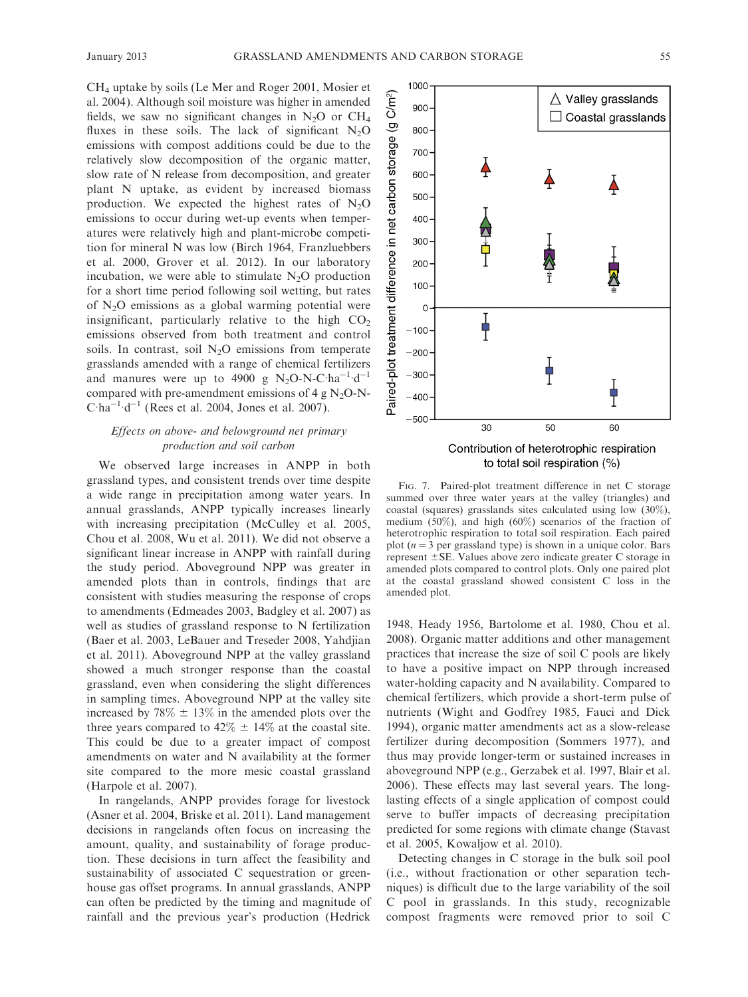CH4 uptake by soils (Le Mer and Roger 2001, Mosier et al. 2004). Although soil moisture was higher in amended fields, we saw no significant changes in  $N_2O$  or  $CH_4$ fluxes in these soils. The lack of significant  $N_2O$ emissions with compost additions could be due to the relatively slow decomposition of the organic matter, slow rate of N release from decomposition, and greater plant N uptake, as evident by increased biomass production. We expected the highest rates of  $N_2O$ emissions to occur during wet-up events when temperatures were relatively high and plant-microbe competition for mineral N was low (Birch 1964, Franzluebbers et al. 2000, Grover et al. 2012). In our laboratory incubation, we were able to stimulate  $N_2O$  production for a short time period following soil wetting, but rates of  $N_2O$  emissions as a global warming potential were insignificant, particularly relative to the high  $CO<sub>2</sub>$ emissions observed from both treatment and control soils. In contrast, soil  $N_2O$  emissions from temperate grasslands amended with a range of chemical fertilizers and manures were up to 4900 g  $N_2O-N-C\cdot ha^{-1}\cdot d^{-1}$ compared with pre-amendment emissions of 4 g  $N_2O-N$ - $C \cdot ha^{-1} \cdot d^{-1}$  (Rees et al. 2004, Jones et al. 2007).

# Effects on above- and belowground net primary production and soil carbon

We observed large increases in ANPP in both grassland types, and consistent trends over time despite a wide range in precipitation among water years. In annual grasslands, ANPP typically increases linearly with increasing precipitation (McCulley et al. 2005, Chou et al. 2008, Wu et al. 2011). We did not observe a significant linear increase in ANPP with rainfall during the study period. Aboveground NPP was greater in amended plots than in controls, findings that are consistent with studies measuring the response of crops to amendments (Edmeades 2003, Badgley et al. 2007) as well as studies of grassland response to N fertilization (Baer et al. 2003, LeBauer and Treseder 2008, Yahdjian et al. 2011). Aboveground NPP at the valley grassland showed a much stronger response than the coastal grassland, even when considering the slight differences in sampling times. Aboveground NPP at the valley site increased by 78%  $\pm$  13% in the amended plots over the three years compared to  $42\% \pm 14\%$  at the coastal site. This could be due to a greater impact of compost amendments on water and N availability at the former site compared to the more mesic coastal grassland (Harpole et al. 2007).

In rangelands, ANPP provides forage for livestock (Asner et al. 2004, Briske et al. 2011). Land management decisions in rangelands often focus on increasing the amount, quality, and sustainability of forage production. These decisions in turn affect the feasibility and sustainability of associated C sequestration or greenhouse gas offset programs. In annual grasslands, ANPP can often be predicted by the timing and magnitude of rainfall and the previous year's production (Hedrick



FIG. 7. Paired-plot treatment difference in net C storage summed over three water years at the valley (triangles) and coastal (squares) grasslands sites calculated using low (30%), medium (50%), and high (60%) scenarios of the fraction of heterotrophic respiration to total soil respiration. Each paired plot  $(n = 3$  per grassland type) is shown in a unique color. Bars represent  $\pm$ SE. Values above zero indicate greater C storage in amended plots compared to control plots. Only one paired plot at the coastal grassland showed consistent C loss in the amended plot.

1948, Heady 1956, Bartolome et al. 1980, Chou et al. 2008). Organic matter additions and other management practices that increase the size of soil C pools are likely to have a positive impact on NPP through increased water-holding capacity and N availability. Compared to chemical fertilizers, which provide a short-term pulse of nutrients (Wight and Godfrey 1985, Fauci and Dick 1994), organic matter amendments act as a slow-release fertilizer during decomposition (Sommers 1977), and thus may provide longer-term or sustained increases in aboveground NPP (e.g., Gerzabek et al. 1997, Blair et al. 2006). These effects may last several years. The longlasting effects of a single application of compost could serve to buffer impacts of decreasing precipitation predicted for some regions with climate change (Stavast et al. 2005, Kowaljow et al. 2010).

Detecting changes in C storage in the bulk soil pool (i.e., without fractionation or other separation techniques) is difficult due to the large variability of the soil C pool in grasslands. In this study, recognizable compost fragments were removed prior to soil C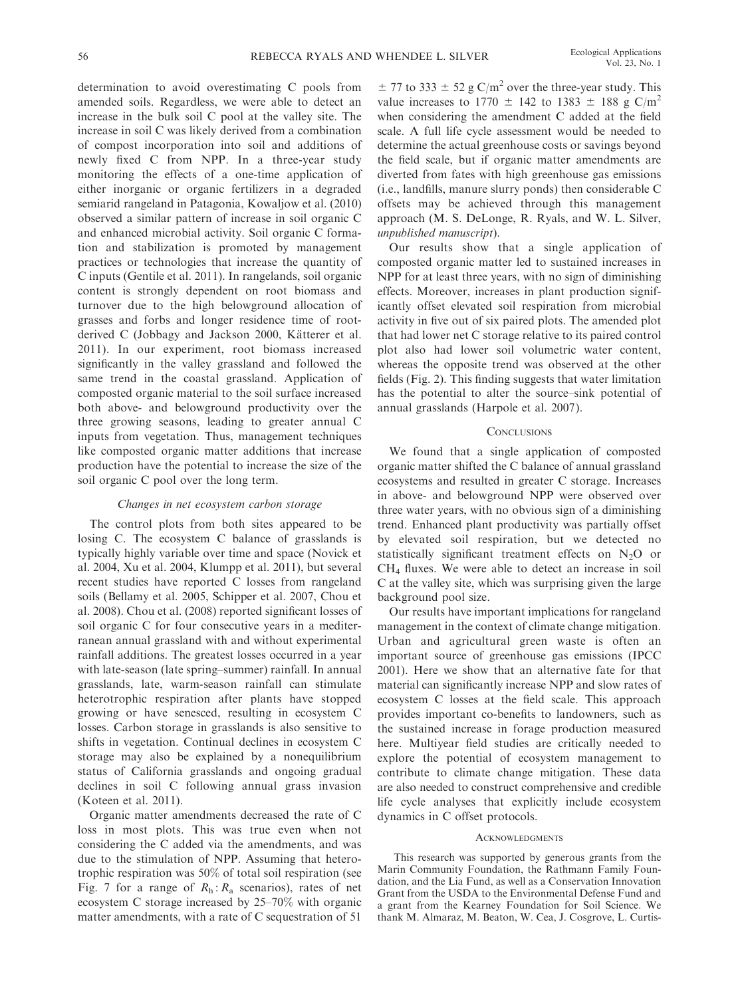determination to avoid overestimating C pools from amended soils. Regardless, we were able to detect an increase in the bulk soil C pool at the valley site. The increase in soil C was likely derived from a combination of compost incorporation into soil and additions of newly fixed C from NPP. In a three-year study monitoring the effects of a one-time application of either inorganic or organic fertilizers in a degraded semiarid rangeland in Patagonia, Kowaljow et al. (2010) observed a similar pattern of increase in soil organic C and enhanced microbial activity. Soil organic C formation and stabilization is promoted by management practices or technologies that increase the quantity of C inputs (Gentile et al. 2011). In rangelands, soil organic content is strongly dependent on root biomass and turnover due to the high belowground allocation of grasses and forbs and longer residence time of rootderived C (Jobbagy and Jackson 2000, Kätterer et al. 2011). In our experiment, root biomass increased significantly in the valley grassland and followed the same trend in the coastal grassland. Application of composted organic material to the soil surface increased both above- and belowground productivity over the three growing seasons, leading to greater annual C inputs from vegetation. Thus, management techniques like composted organic matter additions that increase production have the potential to increase the size of the soil organic C pool over the long term.

## Changes in net ecosystem carbon storage

The control plots from both sites appeared to be losing C. The ecosystem C balance of grasslands is typically highly variable over time and space (Novick et al. 2004, Xu et al. 2004, Klumpp et al. 2011), but several recent studies have reported C losses from rangeland soils (Bellamy et al. 2005, Schipper et al. 2007, Chou et al. 2008). Chou et al. (2008) reported significant losses of soil organic C for four consecutive years in a mediterranean annual grassland with and without experimental rainfall additions. The greatest losses occurred in a year with late-season (late spring–summer) rainfall. In annual grasslands, late, warm-season rainfall can stimulate heterotrophic respiration after plants have stopped growing or have senesced, resulting in ecosystem C losses. Carbon storage in grasslands is also sensitive to shifts in vegetation. Continual declines in ecosystem C storage may also be explained by a nonequilibrium status of California grasslands and ongoing gradual declines in soil C following annual grass invasion (Koteen et al. 2011).

Organic matter amendments decreased the rate of C loss in most plots. This was true even when not considering the C added via the amendments, and was due to the stimulation of NPP. Assuming that heterotrophic respiration was 50% of total soil respiration (see Fig. 7 for a range of  $R_h$ :  $R_a$  scenarios), rates of net ecosystem C storage increased by 25–70% with organic matter amendments, with a rate of C sequestration of 51

 $\pm$  77 to 333  $\pm$  52 g C/m<sup>2</sup> over the three-year study. This value increases to 1770  $\pm$  142 to 1383  $\pm$  188 g C/m<sup>2</sup> when considering the amendment C added at the field scale. A full life cycle assessment would be needed to determine the actual greenhouse costs or savings beyond the field scale, but if organic matter amendments are diverted from fates with high greenhouse gas emissions (i.e., landfills, manure slurry ponds) then considerable C offsets may be achieved through this management approach (M. S. DeLonge, R. Ryals, and W. L. Silver, unpublished manuscript).

Our results show that a single application of composted organic matter led to sustained increases in NPP for at least three years, with no sign of diminishing effects. Moreover, increases in plant production significantly offset elevated soil respiration from microbial activity in five out of six paired plots. The amended plot that had lower net C storage relative to its paired control plot also had lower soil volumetric water content, whereas the opposite trend was observed at the other fields (Fig. 2). This finding suggests that water limitation has the potential to alter the source–sink potential of annual grasslands (Harpole et al. 2007).

## **CONCLUSIONS**

We found that a single application of composted organic matter shifted the C balance of annual grassland ecosystems and resulted in greater C storage. Increases in above- and belowground NPP were observed over three water years, with no obvious sign of a diminishing trend. Enhanced plant productivity was partially offset by elevated soil respiration, but we detected no statistically significant treatment effects on  $N_2O$  or CH4 fluxes. We were able to detect an increase in soil C at the valley site, which was surprising given the large background pool size.

Our results have important implications for rangeland management in the context of climate change mitigation. Urban and agricultural green waste is often an important source of greenhouse gas emissions (IPCC 2001). Here we show that an alternative fate for that material can significantly increase NPP and slow rates of ecosystem C losses at the field scale. This approach provides important co-benefits to landowners, such as the sustained increase in forage production measured here. Multiyear field studies are critically needed to explore the potential of ecosystem management to contribute to climate change mitigation. These data are also needed to construct comprehensive and credible life cycle analyses that explicitly include ecosystem dynamics in C offset protocols.

#### **ACKNOWLEDGMENTS**

This research was supported by generous grants from the Marin Community Foundation, the Rathmann Family Foundation, and the Lia Fund, as well as a Conservation Innovation Grant from the USDA to the Environmental Defense Fund and a grant from the Kearney Foundation for Soil Science. We thank M. Almaraz, M. Beaton, W. Cea, J. Cosgrove, L. Curtis-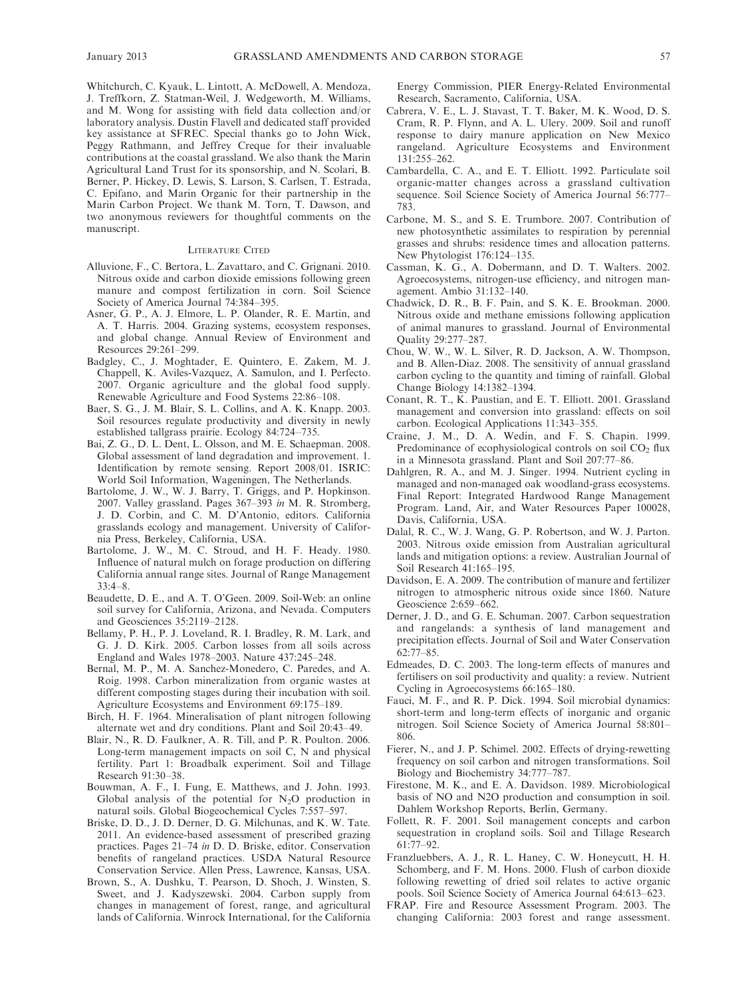Whitchurch, C. Kyauk, L. Lintott, A. McDowell, A. Mendoza, J. Treffkorn, Z. Statman-Weil, J. Wedgeworth, M. Williams, and M. Wong for assisting with field data collection and/or laboratory analysis. Dustin Flavell and dedicated staff provided key assistance at SFREC. Special thanks go to John Wick, Peggy Rathmann, and Jeffrey Creque for their invaluable contributions at the coastal grassland. We also thank the Marin Agricultural Land Trust for its sponsorship, and N. Scolari, B. Berner, P. Hickey, D. Lewis, S. Larson, S. Carlsen, T. Estrada, C. Epifano, and Marin Organic for their partnership in the Marin Carbon Project. We thank M. Torn, T. Dawson, and two anonymous reviewers for thoughtful comments on the manuscript.

#### LITERATURE CITED

- Alluvione, F., C. Bertora, L. Zavattaro, and C. Grignani. 2010. Nitrous oxide and carbon dioxide emissions following green manure and compost fertilization in corn. Soil Science Society of America Journal 74:384–395.
- Asner, G. P., A. J. Elmore, L. P. Olander, R. E. Martin, and A. T. Harris. 2004. Grazing systems, ecosystem responses, and global change. Annual Review of Environment and Resources 29:261–299.
- Badgley, C., J. Moghtader, E. Quintero, E. Zakem, M. J. Chappell, K. Aviles-Vazquez, A. Samulon, and I. Perfecto. 2007. Organic agriculture and the global food supply. Renewable Agriculture and Food Systems 22:86–108.
- Baer, S. G., J. M. Blair, S. L. Collins, and A. K. Knapp. 2003. Soil resources regulate productivity and diversity in newly established tallgrass prairie. Ecology 84:724–735.
- Bai, Z. G., D. L. Dent, L. Olsson, and M. E. Schaepman. 2008. Global assessment of land degradation and improvement. 1. Identification by remote sensing. Report 2008/01. ISRIC: World Soil Information, Wageningen, The Netherlands.
- Bartolome, J. W., W. J. Barry, T. Griggs, and P. Hopkinson. 2007. Valley grassland. Pages 367–393 in M. R. Stromberg, J. D. Corbin, and C. M. D'Antonio, editors. California grasslands ecology and management. University of California Press, Berkeley, California, USA.
- Bartolome, J. W., M. C. Stroud, and H. F. Heady. 1980. Influence of natural mulch on forage production on differing California annual range sites. Journal of Range Management  $33.4 - 8$
- Beaudette, D. E., and A. T. O'Geen. 2009. Soil-Web: an online soil survey for California, Arizona, and Nevada. Computers and Geosciences 35:2119–2128.
- Bellamy, P. H., P. J. Loveland, R. I. Bradley, R. M. Lark, and G. J. D. Kirk. 2005. Carbon losses from all soils across England and Wales 1978–2003. Nature 437:245–248.
- Bernal, M. P., M. A. Sanchez-Monedero, C. Paredes, and A. Roig. 1998. Carbon mineralization from organic wastes at different composting stages during their incubation with soil. Agriculture Ecosystems and Environment 69:175–189.
- Birch, H. F. 1964. Mineralisation of plant nitrogen following alternate wet and dry conditions. Plant and Soil 20:43–49.
- Blair, N., R. D. Faulkner, A. R. Till, and P. R. Poulton. 2006. Long-term management impacts on soil C, N and physical fertility. Part 1: Broadbalk experiment. Soil and Tillage Research 91:30–38.
- Bouwman, A. F., I. Fung, E. Matthews, and J. John. 1993. Global analysis of the potential for  $N_2O$  production in natural soils. Global Biogeochemical Cycles 7:557–597.
- Briske, D. D., J. D. Derner, D. G. Milchunas, and K. W. Tate. 2011. An evidence-based assessment of prescribed grazing practices. Pages 21–74 in D. D. Briske, editor. Conservation benefits of rangeland practices. USDA Natural Resource Conservation Service. Allen Press, Lawrence, Kansas, USA.
- Brown, S., A. Dushku, T. Pearson, D. Shoch, J. Winsten, S. Sweet, and J. Kadyszewski. 2004. Carbon supply from changes in management of forest, range, and agricultural lands of California. Winrock International, for the California

Energy Commission, PIER Energy-Related Environmental Research, Sacramento, California, USA.

- Cabrera, V. E., L. J. Stavast, T. T. Baker, M. K. Wood, D. S. Cram, R. P. Flynn, and A. L. Ulery. 2009. Soil and runoff response to dairy manure application on New Mexico rangeland. Agriculture Ecosystems and Environment 131:255–262.
- Cambardella, C. A., and E. T. Elliott. 1992. Particulate soil organic-matter changes across a grassland cultivation sequence. Soil Science Society of America Journal 56:777– 783.
- Carbone, M. S., and S. E. Trumbore. 2007. Contribution of new photosynthetic assimilates to respiration by perennial grasses and shrubs: residence times and allocation patterns. New Phytologist 176:124–135.
- Cassman, K. G., A. Dobermann, and D. T. Walters. 2002. Agroecosystems, nitrogen-use efficiency, and nitrogen management. Ambio 31:132–140.
- Chadwick, D. R., B. F. Pain, and S. K. E. Brookman. 2000. Nitrous oxide and methane emissions following application of animal manures to grassland. Journal of Environmental Quality 29:277–287.
- Chou, W. W., W. L. Silver, R. D. Jackson, A. W. Thompson, and B. Allen-Diaz. 2008. The sensitivity of annual grassland carbon cycling to the quantity and timing of rainfall. Global Change Biology 14:1382–1394.
- Conant, R. T., K. Paustian, and E. T. Elliott. 2001. Grassland management and conversion into grassland: effects on soil carbon. Ecological Applications 11:343–355.
- Craine, J. M., D. A. Wedin, and F. S. Chapin. 1999. Predominance of ecophysiological controls on soil  $CO<sub>2</sub>$  flux in a Minnesota grassland. Plant and Soil 207:77–86.
- Dahlgren, R. A., and M. J. Singer. 1994. Nutrient cycling in managed and non-managed oak woodland-grass ecosystems. Final Report: Integrated Hardwood Range Management Program. Land, Air, and Water Resources Paper 100028, Davis, California, USA.
- Dalal, R. C., W. J. Wang, G. P. Robertson, and W. J. Parton. 2003. Nitrous oxide emission from Australian agricultural lands and mitigation options: a review. Australian Journal of Soil Research 41:165–195.
- Davidson, E. A. 2009. The contribution of manure and fertilizer nitrogen to atmospheric nitrous oxide since 1860. Nature Geoscience 2:659–662.
- Derner, J. D., and G. E. Schuman. 2007. Carbon sequestration and rangelands: a synthesis of land management and precipitation effects. Journal of Soil and Water Conservation  $62.77 - 85$
- Edmeades, D. C. 2003. The long-term effects of manures and fertilisers on soil productivity and quality: a review. Nutrient Cycling in Agroecosystems 66:165–180.
- Fauci, M. F., and R. P. Dick. 1994. Soil microbial dynamics: short-term and long-term effects of inorganic and organic nitrogen. Soil Science Society of America Journal 58:801– 806.
- Fierer, N., and J. P. Schimel. 2002. Effects of drying-rewetting frequency on soil carbon and nitrogen transformations. Soil Biology and Biochemistry 34:777–787.
- Firestone, M. K., and E. A. Davidson. 1989. Microbiological basis of NO and N2O production and consumption in soil. Dahlem Workshop Reports, Berlin, Germany.
- Follett, R. F. 2001. Soil management concepts and carbon sequestration in cropland soils. Soil and Tillage Research 61:77–92.
- Franzluebbers, A. J., R. L. Haney, C. W. Honeycutt, H. H. Schomberg, and F. M. Hons. 2000. Flush of carbon dioxide following rewetting of dried soil relates to active organic pools. Soil Science Society of America Journal 64:613–623.
- FRAP. Fire and Resource Assessment Program. 2003. The changing California: 2003 forest and range assessment.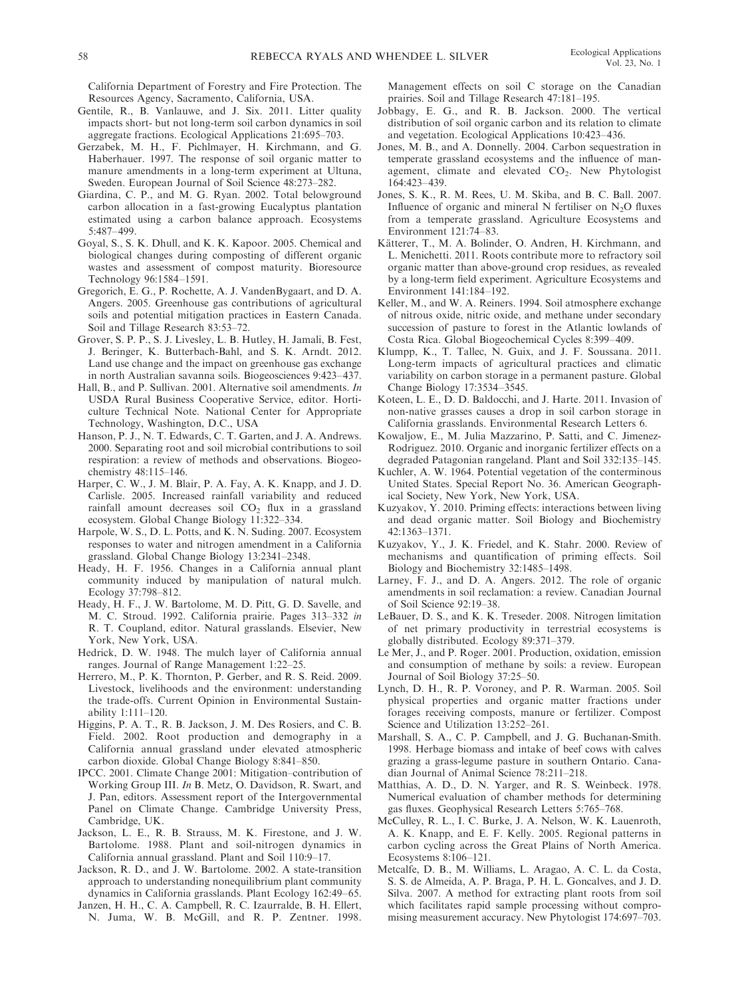California Department of Forestry and Fire Protection. The Resources Agency, Sacramento, California, USA.

- Gentile, R., B. Vanlauwe, and J. Six. 2011. Litter quality impacts short- but not long-term soil carbon dynamics in soil aggregate fractions. Ecological Applications 21:695–703.
- Gerzabek, M. H., F. Pichlmayer, H. Kirchmann, and G. Haberhauer. 1997. The response of soil organic matter to manure amendments in a long-term experiment at Ultuna, Sweden. European Journal of Soil Science 48:273–282.
- Giardina, C. P., and M. G. Ryan. 2002. Total belowground carbon allocation in a fast-growing Eucalyptus plantation estimated using a carbon balance approach. Ecosystems 5:487–499.
- Goyal, S., S. K. Dhull, and K. K. Kapoor. 2005. Chemical and biological changes during composting of different organic wastes and assessment of compost maturity. Bioresource Technology 96:1584–1591.
- Gregorich, E. G., P. Rochette, A. J. VandenBygaart, and D. A. Angers. 2005. Greenhouse gas contributions of agricultural soils and potential mitigation practices in Eastern Canada. Soil and Tillage Research 83:53–72.
- Grover, S. P. P., S. J. Livesley, L. B. Hutley, H. Jamali, B. Fest, J. Beringer, K. Butterbach-Bahl, and S. K. Arndt. 2012. Land use change and the impact on greenhouse gas exchange in north Australian savanna soils. Biogeosciences 9:423–437.
- Hall, B., and P. Sullivan. 2001. Alternative soil amendments. In USDA Rural Business Cooperative Service, editor. Horticulture Technical Note. National Center for Appropriate Technology, Washington, D.C., USA
- Hanson, P. J., N. T. Edwards, C. T. Garten, and J. A. Andrews. 2000. Separating root and soil microbial contributions to soil respiration: a review of methods and observations. Biogeochemistry 48:115–146.
- Harper, C. W., J. M. Blair, P. A. Fay, A. K. Knapp, and J. D. Carlisle. 2005. Increased rainfall variability and reduced rainfall amount decreases soil  $CO<sub>2</sub>$  flux in a grassland ecosystem. Global Change Biology 11:322–334.
- Harpole, W. S., D. L. Potts, and K. N. Suding. 2007. Ecosystem responses to water and nitrogen amendment in a California grassland. Global Change Biology 13:2341–2348.
- Heady, H. F. 1956. Changes in a California annual plant community induced by manipulation of natural mulch. Ecology 37:798–812.
- Heady, H. F., J. W. Bartolome, M. D. Pitt, G. D. Savelle, and M. C. Stroud. 1992. California prairie. Pages 313–332 in R. T. Coupland, editor. Natural grasslands. Elsevier, New York, New York, USA.
- Hedrick, D. W. 1948. The mulch layer of California annual ranges. Journal of Range Management 1:22–25.
- Herrero, M., P. K. Thornton, P. Gerber, and R. S. Reid. 2009. Livestock, livelihoods and the environment: understanding the trade-offs. Current Opinion in Environmental Sustainability 1:111–120.
- Higgins, P. A. T., R. B. Jackson, J. M. Des Rosiers, and C. B. Field. 2002. Root production and demography in a California annual grassland under elevated atmospheric carbon dioxide. Global Change Biology 8:841–850.
- IPCC. 2001. Climate Change 2001: Mitigation–contribution of Working Group III. In B. Metz, O. Davidson, R. Swart, and J. Pan, editors. Assessment report of the Intergovernmental Panel on Climate Change. Cambridge University Press, Cambridge, UK.
- Jackson, L. E., R. B. Strauss, M. K. Firestone, and J. W. Bartolome. 1988. Plant and soil-nitrogen dynamics in California annual grassland. Plant and Soil 110:9–17.
- Jackson, R. D., and J. W. Bartolome. 2002. A state-transition approach to understanding nonequilibrium plant community dynamics in California grasslands. Plant Ecology 162:49–65.
- Janzen, H. H., C. A. Campbell, R. C. Izaurralde, B. H. Ellert, N. Juma, W. B. McGill, and R. P. Zentner. 1998.

Management effects on soil C storage on the Canadian prairies. Soil and Tillage Research 47:181–195.

- Jobbagy, E. G., and R. B. Jackson. 2000. The vertical distribution of soil organic carbon and its relation to climate and vegetation. Ecological Applications 10:423–436.
- Jones, M. B., and A. Donnelly. 2004. Carbon sequestration in temperate grassland ecosystems and the influence of management, climate and elevated  $CO<sub>2</sub>$ . New Phytologist 164:423–439.
- Jones, S. K., R. M. Rees, U. M. Skiba, and B. C. Ball. 2007. Influence of organic and mineral N fertiliser on  $N_2O$  fluxes from a temperate grassland. Agriculture Ecosystems and Environment 121:74–83.
- Kätterer, T., M. A. Bolinder, O. Andren, H. Kirchmann, and L. Menichetti. 2011. Roots contribute more to refractory soil organic matter than above-ground crop residues, as revealed by a long-term field experiment. Agriculture Ecosystems and Environment 141:184–192.
- Keller, M., and W. A. Reiners. 1994. Soil atmosphere exchange of nitrous oxide, nitric oxide, and methane under secondary succession of pasture to forest in the Atlantic lowlands of Costa Rica. Global Biogeochemical Cycles 8:399–409.
- Klumpp, K., T. Tallec, N. Guix, and J. F. Soussana. 2011. Long-term impacts of agricultural practices and climatic variability on carbon storage in a permanent pasture. Global Change Biology 17:3534–3545.
- Koteen, L. E., D. D. Baldocchi, and J. Harte. 2011. Invasion of non-native grasses causes a drop in soil carbon storage in California grasslands. Environmental Research Letters 6.
- Kowaljow, E., M. Julia Mazzarino, P. Satti, and C. Jimenez-Rodriguez. 2010. Organic and inorganic fertilizer effects on a degraded Patagonian rangeland. Plant and Soil 332:135–145.
- Kuchler, A. W. 1964. Potential vegetation of the conterminous United States. Special Report No. 36. American Geographical Society, New York, New York, USA.
- Kuzyakov, Y. 2010. Priming effects: interactions between living and dead organic matter. Soil Biology and Biochemistry 42:1363–1371.
- Kuzyakov, Y., J. K. Friedel, and K. Stahr. 2000. Review of mechanisms and quantification of priming effects. Soil Biology and Biochemistry 32:1485–1498.
- Larney, F. J., and D. A. Angers. 2012. The role of organic amendments in soil reclamation: a review. Canadian Journal of Soil Science 92:19–38.
- LeBauer, D. S., and K. K. Treseder. 2008. Nitrogen limitation of net primary productivity in terrestrial ecosystems is globally distributed. Ecology 89:371–379.
- Le Mer, J., and P. Roger. 2001. Production, oxidation, emission and consumption of methane by soils: a review. European Journal of Soil Biology 37:25–50.
- Lynch, D. H., R. P. Voroney, and P. R. Warman. 2005. Soil physical properties and organic matter fractions under forages receiving composts, manure or fertilizer. Compost Science and Utilization 13:252–261.
- Marshall, S. A., C. P. Campbell, and J. G. Buchanan-Smith. 1998. Herbage biomass and intake of beef cows with calves grazing a grass-legume pasture in southern Ontario. Canadian Journal of Animal Science 78:211–218.
- Matthias, A. D., D. N. Yarger, and R. S. Weinbeck. 1978. Numerical evaluation of chamber methods for determining gas fluxes. Geophysical Research Letters 5:765–768.
- McCulley, R. L., I. C. Burke, J. A. Nelson, W. K. Lauenroth, A. K. Knapp, and E. F. Kelly. 2005. Regional patterns in carbon cycling across the Great Plains of North America. Ecosystems 8:106–121.
- Metcalfe, D. B., M. Williams, L. Aragao, A. C. L. da Costa, S. S. de Almeida, A. P. Braga, P. H. L. Goncalves, and J. D. Silva. 2007. A method for extracting plant roots from soil which facilitates rapid sample processing without compromising measurement accuracy. New Phytologist 174:697–703.